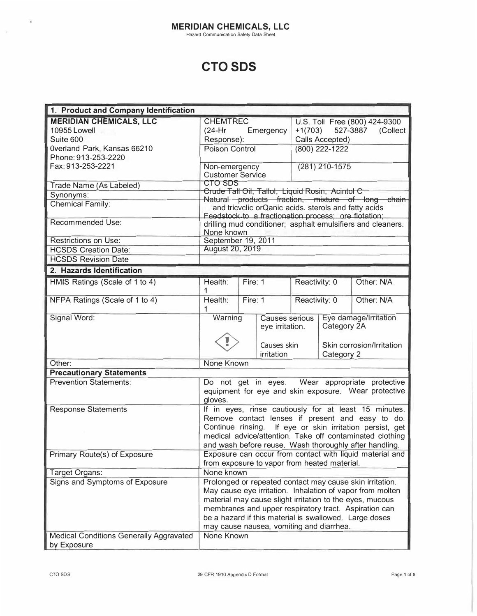# **CTO SDS**

| 1. Product and Company Identification          |                                                                                                                                                                                                                                                                                                                                                  |         |                                   |                                   |                |                                                  |
|------------------------------------------------|--------------------------------------------------------------------------------------------------------------------------------------------------------------------------------------------------------------------------------------------------------------------------------------------------------------------------------------------------|---------|-----------------------------------|-----------------------------------|----------------|--------------------------------------------------|
| <b>MERIDIAN CHEMICALS, LLC</b>                 | <b>CHEMTREC</b>                                                                                                                                                                                                                                                                                                                                  |         |                                   |                                   |                | U.S. Toll Free (800) 424-9300                    |
| 10955 Lowell                                   | $(24-Hr)$<br>Emergency                                                                                                                                                                                                                                                                                                                           |         |                                   | $+1(703)$<br>527-3887<br>(Collect |                |                                                  |
| Suite 600                                      | Response):                                                                                                                                                                                                                                                                                                                                       |         | Calls Accepted)                   |                                   |                |                                                  |
| Overland Park, Kansas 66210                    | Poison Control                                                                                                                                                                                                                                                                                                                                   |         | (800) 222-1222                    |                                   |                |                                                  |
| Phone: 913-253-2220                            |                                                                                                                                                                                                                                                                                                                                                  |         |                                   |                                   |                |                                                  |
| Fax: 913-253-2221                              | Non-emergency                                                                                                                                                                                                                                                                                                                                    |         |                                   |                                   | (281) 210-1575 |                                                  |
|                                                | <b>Customer Service</b>                                                                                                                                                                                                                                                                                                                          |         |                                   |                                   |                |                                                  |
| Trade Name (As Labeled)                        | <b>CTO SDS</b>                                                                                                                                                                                                                                                                                                                                   |         |                                   |                                   |                |                                                  |
| Synonyms:                                      | Crude Tall Oil, Tallol, Liquid Rosin, Acintol C<br>Natural products fraction, mixture of long chain                                                                                                                                                                                                                                              |         |                                   |                                   |                |                                                  |
| <b>Chemical Family:</b>                        | and tricvclic orQanic acids. sterols and fatty acids<br>Feedstock-to a fractionation process; ore flotation;                                                                                                                                                                                                                                     |         |                                   |                                   |                |                                                  |
| Recommended Use:                               | drilling mud conditioner; asphalt emulsifiers and cleaners.<br>None known                                                                                                                                                                                                                                                                        |         |                                   |                                   |                |                                                  |
| <b>Restrictions on Use:</b>                    | September 19, 2011                                                                                                                                                                                                                                                                                                                               |         |                                   |                                   |                |                                                  |
| <b>HCSDS Creation Date:</b>                    | August 20, 2019                                                                                                                                                                                                                                                                                                                                  |         |                                   |                                   |                |                                                  |
| <b>HCSDS Revision Date</b>                     |                                                                                                                                                                                                                                                                                                                                                  |         |                                   |                                   |                |                                                  |
| 2. Hazards Identification                      |                                                                                                                                                                                                                                                                                                                                                  |         |                                   |                                   |                |                                                  |
| HMIS Ratings (Scale of 1 to 4)                 | Health:                                                                                                                                                                                                                                                                                                                                          | Fire: 1 |                                   | Reactivity: 0                     |                | Other: N/A                                       |
| NFPA Ratings (Scale of 1 to 4)                 | Health:<br>1                                                                                                                                                                                                                                                                                                                                     | Fire: 1 |                                   | Reactivity: 0                     |                | Other: N/A                                       |
| Signal Word:                                   | Warning                                                                                                                                                                                                                                                                                                                                          |         | Causes serious<br>eye irritation. |                                   | Category 2A    | Eye damage/Irritation                            |
|                                                |                                                                                                                                                                                                                                                                                                                                                  |         | Causes skin<br>irritation         |                                   | Category 2     | Skin corrosion/Irritation                        |
| Other:                                         | None Known                                                                                                                                                                                                                                                                                                                                       |         |                                   |                                   |                |                                                  |
| <b>Precautionary Statements</b>                |                                                                                                                                                                                                                                                                                                                                                  |         |                                   |                                   |                |                                                  |
| <b>Prevention Statements:</b>                  | Do not get in eyes. Wear appropriate protective<br>equipment for eye and skin exposure. Wear protective<br>gloves.                                                                                                                                                                                                                               |         |                                   |                                   |                |                                                  |
| <b>Response Statements</b>                     | If in eyes, rinse cautiously for at least 15 minutes.                                                                                                                                                                                                                                                                                            |         |                                   |                                   |                |                                                  |
|                                                |                                                                                                                                                                                                                                                                                                                                                  |         |                                   |                                   |                | Remove contact lenses if present and easy to do. |
|                                                | Continue rinsing. If eye or skin irritation persist, get<br>medical advice/attention. Take off contaminated clothing                                                                                                                                                                                                                             |         |                                   |                                   |                |                                                  |
|                                                |                                                                                                                                                                                                                                                                                                                                                  |         |                                   |                                   |                |                                                  |
|                                                | and wash before reuse. Wash thoroughly after handling.                                                                                                                                                                                                                                                                                           |         |                                   |                                   |                |                                                  |
| Primary Route(s) of Exposure                   | Exposure can occur from contact with liquid material and                                                                                                                                                                                                                                                                                         |         |                                   |                                   |                |                                                  |
|                                                | from exposure to vapor from heated material.                                                                                                                                                                                                                                                                                                     |         |                                   |                                   |                |                                                  |
| Target Organs:                                 | None known                                                                                                                                                                                                                                                                                                                                       |         |                                   |                                   |                |                                                  |
| Signs and Symptoms of Exposure                 | Prolonged or repeated contact may cause skin irritation.<br>May cause eye irritation. Inhalation of vapor from molten<br>material may cause slight irritation to the eyes, mucous<br>membranes and upper respiratory tract. Aspiration can<br>be a hazard if this material is swallowed. Large doses<br>may cause nausea, vomiting and diarrhea. |         |                                   |                                   |                |                                                  |
| <b>Medical Conditions Generally Aggravated</b> | None Known                                                                                                                                                                                                                                                                                                                                       |         |                                   |                                   |                |                                                  |
| by Exposure                                    |                                                                                                                                                                                                                                                                                                                                                  |         |                                   |                                   |                |                                                  |

 $\omega$ 

 $\mu_{\rm B}$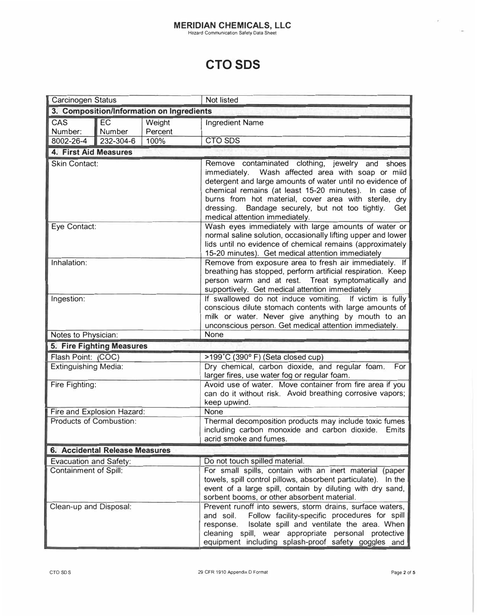#### **MERIDIAN CHEMICALS, LLC**<br>Hazard Communication Safety Data Sheet

## **CTO SDS**

| <b>Carcinogen Status</b>                  |                            |         | Not listed                                                                                                                                                                                                                                                                                                                                                                             |  |
|-------------------------------------------|----------------------------|---------|----------------------------------------------------------------------------------------------------------------------------------------------------------------------------------------------------------------------------------------------------------------------------------------------------------------------------------------------------------------------------------------|--|
| 3. Composition/Information on Ingredients |                            |         |                                                                                                                                                                                                                                                                                                                                                                                        |  |
| CAS                                       | EC                         | Weight  | <b>Ingredient Name</b>                                                                                                                                                                                                                                                                                                                                                                 |  |
| Number:                                   | Number                     | Percent |                                                                                                                                                                                                                                                                                                                                                                                        |  |
| 8002-26-4                                 | 232-304-6                  | 100%    | <b>CTO SDS</b>                                                                                                                                                                                                                                                                                                                                                                         |  |
| 4. First Aid Measures                     |                            |         |                                                                                                                                                                                                                                                                                                                                                                                        |  |
| <b>Skin Contact:</b>                      |                            |         | Remove contaminated clothing, jewelry and shoes<br>Wash affected area with soap or mild<br>immediately.<br>detergent and large amounts of water until no evidence of<br>chemical remains (at least 15-20 minutes). In case of<br>burns from hot material, cover area with sterile, dry<br>Bandage securely, but not too tightly.<br>dressing.<br>Get<br>medical attention immediately. |  |
| Eye Contact:                              |                            |         | Wash eyes immediately with large amounts of water or<br>normal saline solution, occasionally lifting upper and lower<br>lids until no evidence of chemical remains (approximately<br>15-20 minutes). Get medical attention immediately                                                                                                                                                 |  |
| Inhalation:                               |                            |         | Remove from exposure area to fresh air immediately. If<br>breathing has stopped, perform artificial respiration. Keep<br>person warm and at rest. Treat symptomatically and<br>supportively. Get medical attention immediately                                                                                                                                                         |  |
| Ingestion:                                |                            |         | If swallowed do not induce vomiting. If victim is fully<br>conscious dilute stomach contents with large amounts of<br>milk or water. Never give anything by mouth to an<br>unconscious person. Get medical attention immediately.                                                                                                                                                      |  |
| Notes to Physician:                       |                            |         | None                                                                                                                                                                                                                                                                                                                                                                                   |  |
|                                           | 5. Fire Fighting Measures  |         |                                                                                                                                                                                                                                                                                                                                                                                        |  |
| Flash Point: (COC)                        |                            |         | >199°C (390°F) (Seta closed cup)                                                                                                                                                                                                                                                                                                                                                       |  |
| <b>Extinguishing Media:</b>               |                            |         | Dry chemical, carbon dioxide, and regular foam.<br>For<br>larger fires, use water fog or regular foam.                                                                                                                                                                                                                                                                                 |  |
| Fire Fighting:                            |                            |         | Avoid use of water. Move container from fire area if you<br>can do it without risk. Avoid breathing corrosive vapors;<br>keep upwind.                                                                                                                                                                                                                                                  |  |
|                                           | Fire and Explosion Hazard: |         | None                                                                                                                                                                                                                                                                                                                                                                                   |  |
| Products of Combustion:                   |                            |         | Thermal decomposition products may include toxic fumes<br>including carbon monoxide and carbon dioxide.<br>Emits<br>acrid smoke and fumes.                                                                                                                                                                                                                                             |  |
| 6. Accidental Release Measures            |                            |         |                                                                                                                                                                                                                                                                                                                                                                                        |  |
| <b>Evacuation and Safety:</b>             |                            |         | Do not touch spilled material.                                                                                                                                                                                                                                                                                                                                                         |  |
| <b>Containment of Spill:</b>              |                            |         | For small spills, contain with an inert material (paper<br>towels, spill control pillows, absorbent particulate). In the<br>event of a large spill, contain by diluting with dry sand,<br>sorbent booms, or other absorbent material.                                                                                                                                                  |  |
| Clean-up and Disposal:                    |                            |         | Prevent runoff into sewers, storm drains, surface waters,<br>Follow facility-specific procedures for spill<br>and soil.<br>Isolate spill and ventilate the area. When<br>response.<br>cleaning spill, wear appropriate personal protective<br>equipment including splash-proof safety goggles and                                                                                      |  |

 $\bar{r}$ 

i.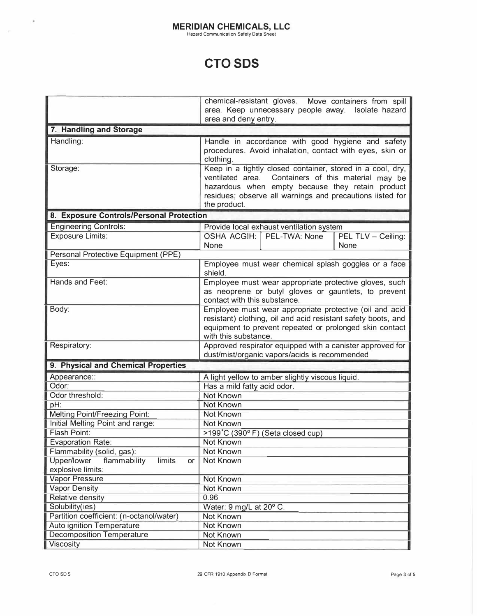#### **MERIDIAN CHEMICALS, LLC**  Hazard Communication Safety Data Sheet

## **CTO SDS**

|                                             | chemical-resistant gloves. Move containers from spill                                                          |  |  |
|---------------------------------------------|----------------------------------------------------------------------------------------------------------------|--|--|
|                                             | area. Keep unnecessary people away. Isolate hazard                                                             |  |  |
|                                             | area and deny entry.                                                                                           |  |  |
| 7. Handling and Storage                     |                                                                                                                |  |  |
| Handling:                                   | Handle in accordance with good hygiene and safety                                                              |  |  |
|                                             | procedures. Avoid inhalation, contact with eyes, skin or                                                       |  |  |
|                                             | clothing.                                                                                                      |  |  |
| Storage:                                    | Keep in a tightly closed container, stored in a cool, dry,                                                     |  |  |
|                                             | ventilated area. Containers of this material may be                                                            |  |  |
|                                             | hazardous when empty because they retain product                                                               |  |  |
|                                             | residues; observe all warnings and precautions listed for                                                      |  |  |
|                                             | the product.                                                                                                   |  |  |
| 8. Exposure Controls/Personal Protection    |                                                                                                                |  |  |
| <b>Engineering Controls:</b>                | Provide local exhaust ventilation system                                                                       |  |  |
| <b>Exposure Limits:</b>                     | OSHA ACGIH: PEL-TWA: None<br>PEL TLV - Ceiling:                                                                |  |  |
|                                             | None<br>None                                                                                                   |  |  |
| Personal Protective Equipment (PPE)         |                                                                                                                |  |  |
| Eyes:                                       | Employee must wear chemical splash goggles or a face                                                           |  |  |
| Hands and Feet:                             | shield.                                                                                                        |  |  |
|                                             | Employee must wear appropriate protective gloves, such<br>as neoprene or butyl gloves or gauntlets, to prevent |  |  |
|                                             | contact with this substance.                                                                                   |  |  |
| Body:                                       | Employee must wear appropriate protective (oil and acid                                                        |  |  |
|                                             | resistant) clothing, oil and acid resistant safety boots, and                                                  |  |  |
|                                             | equipment to prevent repeated or prolonged skin contact                                                        |  |  |
|                                             | with this substance.                                                                                           |  |  |
| Respiratory:                                | Approved respirator equipped with a canister approved for                                                      |  |  |
|                                             | dust/mist/organic vapors/acids is recommended                                                                  |  |  |
| 9. Physical and Chemical Properties         |                                                                                                                |  |  |
| Appearance::                                | A light yellow to amber slightly viscous liquid.                                                               |  |  |
| Odor:                                       | Has a mild fatty acid odor.                                                                                    |  |  |
| Odor threshold:                             | Not Known                                                                                                      |  |  |
| pH:                                         | Not Known                                                                                                      |  |  |
| Melting Point/Freezing Point:               | Not Known                                                                                                      |  |  |
| Initial Melting Point and range:            | Not Known                                                                                                      |  |  |
| Flash Point:                                | >199°C (390°F) (Seta closed cup)                                                                               |  |  |
| <b>Evaporation Rate:</b>                    | Not Known                                                                                                      |  |  |
| Flammability (solid, gas):                  | Not Known                                                                                                      |  |  |
| limits<br>Upper/lower<br>flammability<br>or | Not Known                                                                                                      |  |  |
| explosive limits:                           |                                                                                                                |  |  |
| Vapor Pressure                              | Not Known                                                                                                      |  |  |
| <b>Vapor Density</b>                        | Not Known                                                                                                      |  |  |
| Relative density                            | 0.96                                                                                                           |  |  |
| Solubility(ies)                             | Water: 9 mg/L at 20° C.                                                                                        |  |  |
| Partition coefficient: (n-octanol/water)    | Not Known                                                                                                      |  |  |
| Auto ignition Temperature                   | Not Known                                                                                                      |  |  |
| <b>Decomposition Temperature</b>            | Not Known                                                                                                      |  |  |
| Viscosity                                   | Not Known                                                                                                      |  |  |

 $\hat{\boldsymbol{\theta}}$ 

 $\sim$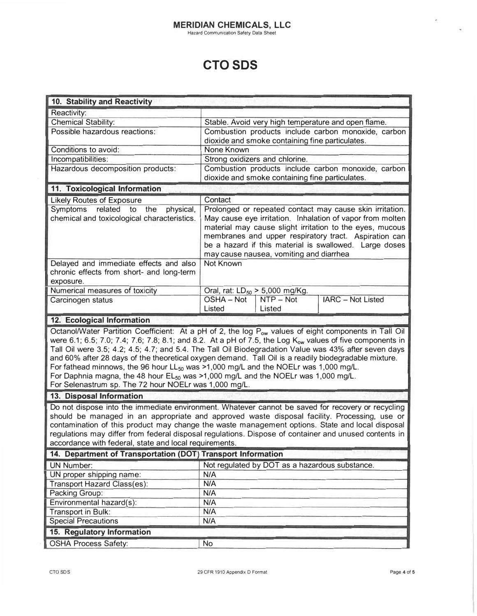Hazard Communication Safety Data Sheet

## **CTO SDS**

| 10. Stability and Reactivity                                                                                                                                                                                                                                                                                                                                                                                                                                                                                                                                                                                                                                                                               |                                                                                                                                                                                                                                                                                     |                                                |                          |
|------------------------------------------------------------------------------------------------------------------------------------------------------------------------------------------------------------------------------------------------------------------------------------------------------------------------------------------------------------------------------------------------------------------------------------------------------------------------------------------------------------------------------------------------------------------------------------------------------------------------------------------------------------------------------------------------------------|-------------------------------------------------------------------------------------------------------------------------------------------------------------------------------------------------------------------------------------------------------------------------------------|------------------------------------------------|--------------------------|
| Reactivity:                                                                                                                                                                                                                                                                                                                                                                                                                                                                                                                                                                                                                                                                                                |                                                                                                                                                                                                                                                                                     |                                                |                          |
| <b>Chemical Stability:</b>                                                                                                                                                                                                                                                                                                                                                                                                                                                                                                                                                                                                                                                                                 | Stable. Avoid very high temperature and open flame.                                                                                                                                                                                                                                 |                                                |                          |
| Possible hazardous reactions:                                                                                                                                                                                                                                                                                                                                                                                                                                                                                                                                                                                                                                                                              | Combustion products include carbon monoxide, carbon<br>dioxide and smoke containing fine particulates.                                                                                                                                                                              |                                                |                          |
| Conditions to avoid:                                                                                                                                                                                                                                                                                                                                                                                                                                                                                                                                                                                                                                                                                       | None Known                                                                                                                                                                                                                                                                          |                                                |                          |
| Incompatibilities:                                                                                                                                                                                                                                                                                                                                                                                                                                                                                                                                                                                                                                                                                         | Strong oxidizers and chlorine.                                                                                                                                                                                                                                                      |                                                |                          |
| Hazardous decomposition products:                                                                                                                                                                                                                                                                                                                                                                                                                                                                                                                                                                                                                                                                          | Combustion products include carbon monoxide, carbon<br>dioxide and smoke containing fine particulates.                                                                                                                                                                              |                                                |                          |
| 11. Toxicological Information                                                                                                                                                                                                                                                                                                                                                                                                                                                                                                                                                                                                                                                                              |                                                                                                                                                                                                                                                                                     |                                                |                          |
| <b>Likely Routes of Exposure</b>                                                                                                                                                                                                                                                                                                                                                                                                                                                                                                                                                                                                                                                                           | Contact                                                                                                                                                                                                                                                                             |                                                |                          |
| Symptoms related to the<br>physical,                                                                                                                                                                                                                                                                                                                                                                                                                                                                                                                                                                                                                                                                       | Prolonged or repeated contact may cause skin irritation.                                                                                                                                                                                                                            |                                                |                          |
| chemical and toxicological characteristics.                                                                                                                                                                                                                                                                                                                                                                                                                                                                                                                                                                                                                                                                | May cause eye irritation. Inhalation of vapor from molten<br>material may cause slight irritation to the eyes, mucous<br>membranes and upper respiratory tract. Aspiration can<br>be a hazard if this material is swallowed. Large doses<br>may cause nausea, vomiting and diarrhea |                                                |                          |
| Delayed and immediate effects and also<br>chronic effects from short- and long-term<br>exposure.                                                                                                                                                                                                                                                                                                                                                                                                                                                                                                                                                                                                           | Not Known                                                                                                                                                                                                                                                                           |                                                |                          |
| Numerical measures of toxicity                                                                                                                                                                                                                                                                                                                                                                                                                                                                                                                                                                                                                                                                             |                                                                                                                                                                                                                                                                                     | Oral, rat: $LD_{50} > 5,000$ mg/Kg.            |                          |
| Carcinogen status                                                                                                                                                                                                                                                                                                                                                                                                                                                                                                                                                                                                                                                                                          | OSHA - Not<br>Listed                                                                                                                                                                                                                                                                | NTP - Not<br>Listed                            | <b>IARC</b> - Not Listed |
| 12. Ecological Information                                                                                                                                                                                                                                                                                                                                                                                                                                                                                                                                                                                                                                                                                 |                                                                                                                                                                                                                                                                                     |                                                |                          |
| Octanol/Water Partition Coefficient: At a pH of 2, the log P <sub>ow</sub> values of eight components in Tall Oil<br>were 6.1; 6.5; 7.0; 7.4; 7.6; 7.8; 8.1; and 8.2. At a pH of 7.5, the Log $K_{ow}$ values of five components in<br>Tall Oil were 3.5; 4.2; 4.5; 4.7; and 5.4. The Tall Oil Biodegradation Value was 43% after seven days<br>and 60% after 28 days of the theoretical oxygen demand. Tall Oil is a readily biodegradable mixture.<br>For fathead minnows, the 96 hour LL <sub>50</sub> was >1,000 mg/L and the NOELr was 1,000 mg/L.<br>For Daphnia magna, the 48 hour $EL_{50}$ was >1,000 mg/L and the NOELr was 1,000 mg/L.<br>For Selenastrum sp. The 72 hour NOELr was 1,000 mg/L. |                                                                                                                                                                                                                                                                                     |                                                |                          |
| 13. Disposal Information                                                                                                                                                                                                                                                                                                                                                                                                                                                                                                                                                                                                                                                                                   |                                                                                                                                                                                                                                                                                     |                                                |                          |
| Do not dispose into the immediate environment. Whatever cannot be saved for recovery or recycling<br>should be managed in an appropriate and approved waste disposal facility. Processing, use or<br>contamination of this product may change the waste management options. State and local disposal<br>regulations may differ from federal disposal regulations. Dispose of container and unused contents in<br>accordance with federal, state and local requirements.                                                                                                                                                                                                                                    |                                                                                                                                                                                                                                                                                     |                                                |                          |
|                                                                                                                                                                                                                                                                                                                                                                                                                                                                                                                                                                                                                                                                                                            |                                                                                                                                                                                                                                                                                     |                                                |                          |
| 14. Department of Transportation (DOT) Transport Information                                                                                                                                                                                                                                                                                                                                                                                                                                                                                                                                                                                                                                               |                                                                                                                                                                                                                                                                                     |                                                |                          |
| <b>UN Number:</b>                                                                                                                                                                                                                                                                                                                                                                                                                                                                                                                                                                                                                                                                                          |                                                                                                                                                                                                                                                                                     | Not regulated by DOT as a hazardous substance. |                          |
| UN proper shipping name:                                                                                                                                                                                                                                                                                                                                                                                                                                                                                                                                                                                                                                                                                   | N/A                                                                                                                                                                                                                                                                                 |                                                |                          |
| Transport Hazard Class(es):                                                                                                                                                                                                                                                                                                                                                                                                                                                                                                                                                                                                                                                                                | N/A                                                                                                                                                                                                                                                                                 |                                                |                          |
| Packing Group:                                                                                                                                                                                                                                                                                                                                                                                                                                                                                                                                                                                                                                                                                             | N/A                                                                                                                                                                                                                                                                                 |                                                |                          |
| Environmental hazard(s):                                                                                                                                                                                                                                                                                                                                                                                                                                                                                                                                                                                                                                                                                   | N/A                                                                                                                                                                                                                                                                                 |                                                |                          |
| Transport in Bulk:                                                                                                                                                                                                                                                                                                                                                                                                                                                                                                                                                                                                                                                                                         | N/A                                                                                                                                                                                                                                                                                 |                                                |                          |
| <b>Special Precautions</b>                                                                                                                                                                                                                                                                                                                                                                                                                                                                                                                                                                                                                                                                                 | N/A                                                                                                                                                                                                                                                                                 |                                                |                          |
| 15. Regulatory Information<br><b>OSHA Process Safety:</b>                                                                                                                                                                                                                                                                                                                                                                                                                                                                                                                                                                                                                                                  | <b>No</b>                                                                                                                                                                                                                                                                           |                                                |                          |

 $\hat{\mathcal{C}}$ 

ų.